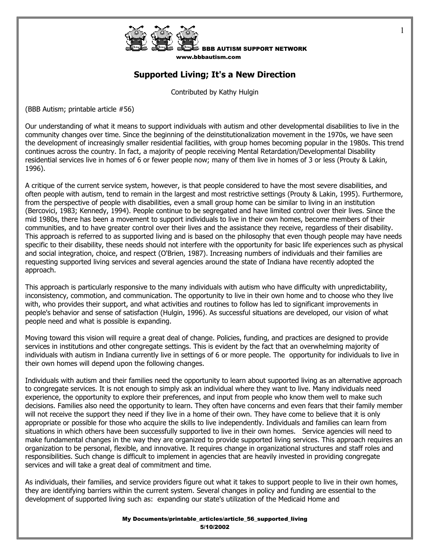

w.bbbautism.com

1

## **Supported Living; It's a New Direction**

Contributed by Kathy Hulgin

(BBB Autism; printable article #56)

Our understanding of what it means to support individuals with autism and other developmental disabilities to live in the community changes over time. Since the beginning of the deinstitutionalization movement in the 1970s, we have seen the development of increasingly smaller residential facilities, with group homes becoming popular in the 1980s. This trend continues across the country. In fact, a majority of people receiving Mental Retardation/Developmental Disability residential services live in homes of 6 or fewer people now; many of them live in homes of 3 or less (Prouty & Lakin, 1996).

A critique of the current service system, however, is that people considered to have the most severe disabilities, and often people with autism, tend to remain in the largest and most restrictive settings (Prouty & Lakin, 1995). Furthermore, from the perspective of people with disabilities, even a small group home can be similar to living in an institution (Bercovici, 1983; Kennedy, 1994). People continue to be segregated and have limited control over their lives. Since the mid 1980s, there has been a movement to support individuals to live in their own homes, become members of their communities, and to have greater control over their lives and the assistance they receive, regardless of their disability. This approach is referred to as supported living and is based on the philosophy that even though people may have needs specific to their disability, these needs should not interfere with the opportunity for basic life experiences such as physical and social integration, choice, and respect (O'Brien, 1987). Increasing numbers of individuals and their families are requesting supported living services and several agencies around the state of Indiana have recently adopted the approach.

This approach is particularly responsive to the many individuals with autism who have difficulty with unpredictability, inconsistency, commotion, and communication. The opportunity to live in their own home and to choose who they live with, who provides their support, and what activities and routines to follow has led to significant improvements in people's behavior and sense of satisfaction (Hulgin, 1996). As successful situations are developed, our vision of what people need and what is possible is expanding.

Moving toward this vision will require a great deal of change. Policies, funding, and practices are designed to provide services in institutions and other congregate settings. This is evident by the fact that an overwhelming majority of individuals with autism in Indiana currently live in settings of 6 or more people. The opportunity for individuals to live in their own homes will depend upon the following changes.

Individuals with autism and their families need the opportunity to learn about supported living as an alternative approach to congregate services. It is not enough to simply ask an individual where they want to live. Many individuals need experience, the opportunity to explore their preferences, and input from people who know them well to make such decisions. Families also need the opportunity to learn. They often have concerns and even fears that their family member will not receive the support they need if they live in a home of their own. They have come to believe that it is only appropriate or possible for those who acquire the skills to live independently. Individuals and families can learn from situations in which others have been successfully supported to live in their own homes. Service agencies will need to make fundamental changes in the way they are organized to provide supported living services. This approach requires an organization to be personal, flexible, and innovative. It requires change in organizational structures and staff roles and responsibilities. Such change is difficult to implement in agencies that are heavily invested in providing congregate services and will take a great deal of commitment and time.

As individuals, their families, and service providers figure out what it takes to support people to live in their own homes, they are identifying barriers within the current system. Several changes in policy and funding are essential to the development of supported living such as: expanding our state's utilization of the Medicaid Home and

> My Documents/printable\_articles/article\_56\_supported\_living 5/10/2002